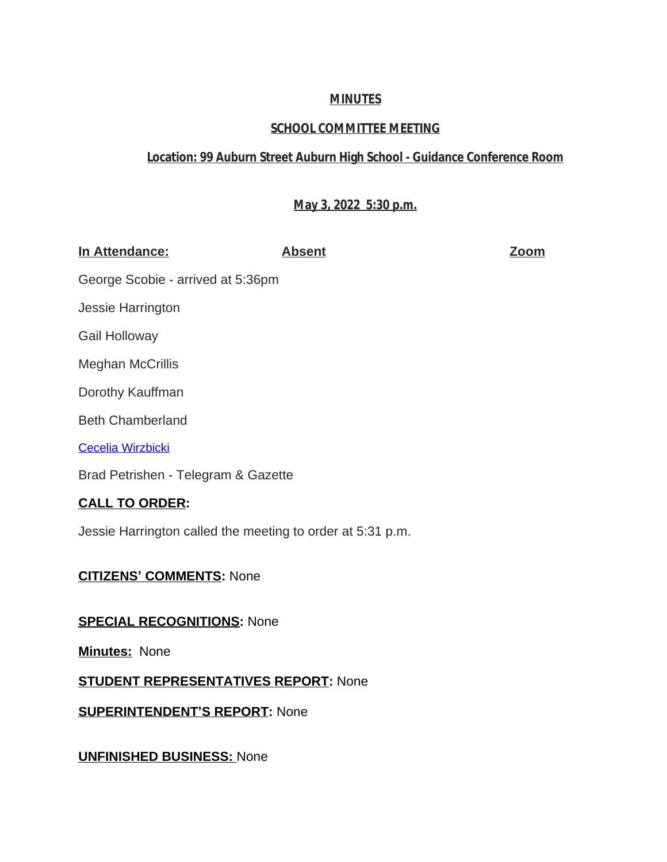## **MINUTES**

# **SCHOOL COMMITTEE MEETING**

# **Location: 99 Auburn Street Auburn High School - Guidance Conference Room**

### **May 3, 2022 5:30 p.m.**

| In Attendance:                                             | <b>Absent</b> | <u>Zoom</u> |
|------------------------------------------------------------|---------------|-------------|
| George Scobie - arrived at 5:36pm                          |               |             |
| Jessie Harrington                                          |               |             |
| Gail Holloway                                              |               |             |
| <b>Meghan McCrillis</b>                                    |               |             |
| Dorothy Kauffman                                           |               |             |
| <b>Beth Chamberland</b>                                    |               |             |
| <b>Cecelia Wirzbicki</b>                                   |               |             |
| Brad Petrishen - Telegram & Gazette                        |               |             |
| <b>CALL TO ORDER:</b>                                      |               |             |
| Jessie Harrington called the meeting to order at 5:31 p.m. |               |             |

### **CITIZENS' [COMMENTS:](mailto:cwirzbicki@auburn.k12.ma.us)** [None](mailto:cwirzbicki@auburn.k12.ma.us)

### **[SPECIAL RECOGNITIONS:](mailto:cwirzbicki@auburn.k12.ma.us)** [None](mailto:cwirzbicki@auburn.k12.ma.us)

**[Minutes:](mailto:cwirzbicki@auburn.k12.ma.us)** [None](mailto:cwirzbicki@auburn.k12.ma.us)

**[STUDENT REPRESENTATIVES REPORT:](mailto:cwirzbicki@auburn.k12.ma.us)** [None](mailto:cwirzbicki@auburn.k12.ma.us)

**[SUPERINTENDENT](mailto:cwirzbicki@auburn.k12.ma.us)'S REPORT[:](mailto:cwirzbicki@auburn.k12.ma.us)** [None](mailto:cwirzbicki@auburn.k12.ma.us)

**[UNFINISHED BUSINESS:](mailto:cwirzbicki@auburn.k12.ma.us)** [None](mailto:cwirzbicki@auburn.k12.ma.us)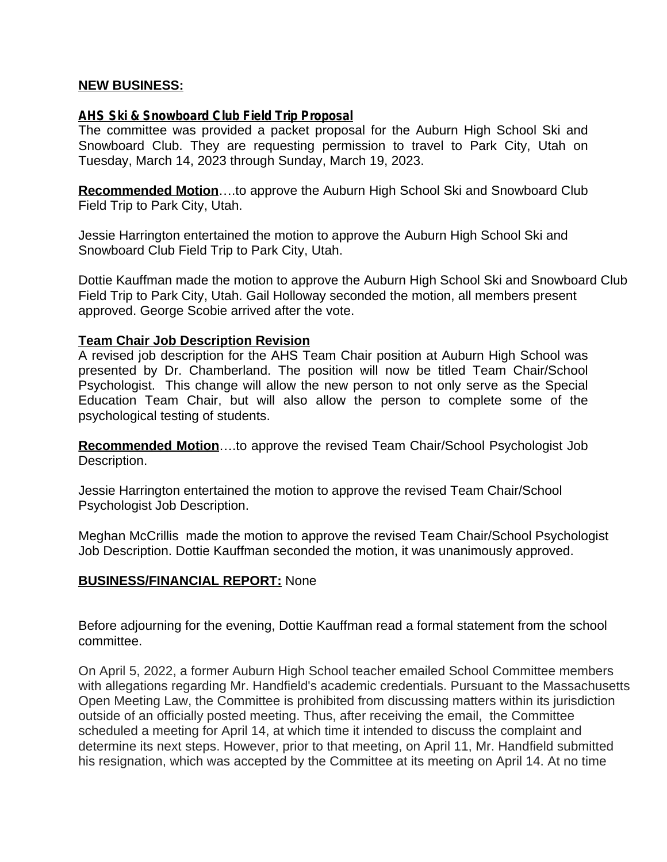### **NEW BUSINESS:**

#### **AHS Ski & Snowboard Club Field Trip Proposal**

The committee was provided a packet proposal for the Auburn High School Ski and Snowboard Club. They are requesting permission to travel to Park City, Utah on Tuesday, March 14, 2023 through Sunday, March 19, 2023.

**Recommended Motion**….to approve the Auburn High School Ski and Snowboard Club Field Trip to Park City, Utah.

Jessie Harrington entertained the motion to approve the Auburn High School Ski and Snowboard Club Field Trip to Park City, Utah.

Dottie Kauffman made the motion to approve the Auburn High School Ski and Snowboard Club Field Trip to Park City, Utah. Gail Holloway seconded the motion, all members present approved. George Scobie arrived after the vote.

#### **Team Chair Job Description Revision**

A revised job description for the AHS Team Chair position at Auburn High School was presented by Dr. Chamberland. The position will now be titled Team Chair/School Psychologist. This change will allow the new person to not only serve as the Special Education Team Chair, but will also allow the person to complete some of the psychological testing of students.

**Recommended Motion**….to approve the revised Team Chair/School Psychologist Job Description.

Jessie Harrington entertained the motion to approve the revised Team Chair/School Psychologist Job Description.

Meghan McCrillis made the motion to approve the revised Team Chair/School Psychologist Job Description. Dottie Kauffman seconded the motion, it was unanimously approved.

### **BUSINESS/FINANCIAL REPORT:** None

Before adjourning for the evening, Dottie Kauffman read a formal statement from the school committee.

On April 5, 2022, a former Auburn High School teacher emailed School Committee members with allegations regarding Mr. Handfield's academic credentials. Pursuant to the Massachusetts Open Meeting Law, the Committee is prohibited from discussing matters within its jurisdiction outside of an officially posted meeting. Thus, after receiving the email, the Committee scheduled a meeting for April 14, at which time it intended to discuss the complaint and determine its next steps. However, prior to that meeting, on April 11, Mr. Handfield submitted his resignation, which was accepted by the Committee at its meeting on April 14. At no time